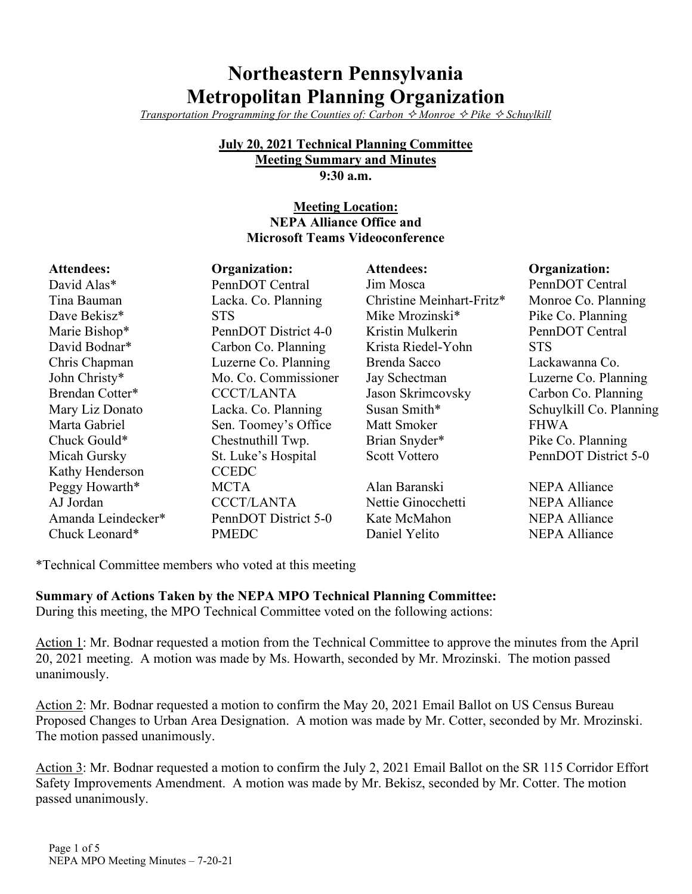# **Northeastern Pennsylvania Metropolitan Planning Organization**

*Transportation Programming for the Counties of: Carbon*  $\Diamond$  *Monroe*  $\Diamond$  *Pike*  $\Diamond$  *Schuylkill* 

#### **July 20, 2021 Technical Planning Committee Meeting Summary and Minutes 9:30 a.m.**

#### **Meeting Location: NEPA Alliance Office and Microsoft Teams Videoconference**

| <b>Attendees:</b>  | Organization:        | <b>Attendees:</b>         | Organization:           |
|--------------------|----------------------|---------------------------|-------------------------|
| David Alas*        | PennDOT Central      | Jim Mosca                 | PennDOT Central         |
| Tina Bauman        | Lacka. Co. Planning  | Christine Meinhart-Fritz* | Monroe Co. Planning     |
| Dave Bekisz*       | <b>STS</b>           | Mike Mrozinski*           | Pike Co. Planning       |
| Marie Bishop*      | PennDOT District 4-0 | Kristin Mulkerin          | PennDOT Central         |
| David Bodnar*      | Carbon Co. Planning  | Krista Riedel-Yohn        | <b>STS</b>              |
| Chris Chapman      | Luzerne Co. Planning | Brenda Sacco              | Lackawanna Co.          |
| John Christy*      | Mo. Co. Commissioner | Jay Schectman             | Luzerne Co. Planning    |
| Brendan Cotter*    | <b>CCCT/LANTA</b>    | Jason Skrimcovsky         | Carbon Co. Planning     |
| Mary Liz Donato    | Lacka. Co. Planning  | Susan Smith*              | Schuylkill Co. Planning |
| Marta Gabriel      | Sen. Toomey's Office | Matt Smoker               | <b>FHWA</b>             |
| Chuck Gould*       | Chestnuthill Twp.    | Brian Snyder*             | Pike Co. Planning       |
| Micah Gursky       | St. Luke's Hospital  | <b>Scott Vottero</b>      | PennDOT District 5-0    |
| Kathy Henderson    | <b>CCEDC</b>         |                           |                         |
| Peggy Howarth*     | <b>MCTA</b>          | Alan Baranski             | <b>NEPA Alliance</b>    |
| AJ Jordan          | <b>CCCT/LANTA</b>    | Nettie Ginocchetti        | <b>NEPA Alliance</b>    |
| Amanda Leindecker* | PennDOT District 5-0 | Kate McMahon              | <b>NEPA Alliance</b>    |
| Chuck Leonard*     | <b>PMEDC</b>         | Daniel Yelito             | <b>NEPA Alliance</b>    |

\*Technical Committee members who voted at this meeting

**Summary of Actions Taken by the NEPA MPO Technical Planning Committee:**

During this meeting, the MPO Technical Committee voted on the following actions:

Action 1: Mr. Bodnar requested a motion from the Technical Committee to approve the minutes from the April 20, 2021 meeting. A motion was made by Ms. Howarth, seconded by Mr. Mrozinski. The motion passed unanimously.

Action 2: Mr. Bodnar requested a motion to confirm the May 20, 2021 Email Ballot on US Census Bureau Proposed Changes to Urban Area Designation. A motion was made by Mr. Cotter, seconded by Mr. Mrozinski. The motion passed unanimously.

Action 3: Mr. Bodnar requested a motion to confirm the July 2, 2021 Email Ballot on the SR 115 Corridor Effort Safety Improvements Amendment. A motion was made by Mr. Bekisz, seconded by Mr. Cotter. The motion passed unanimously.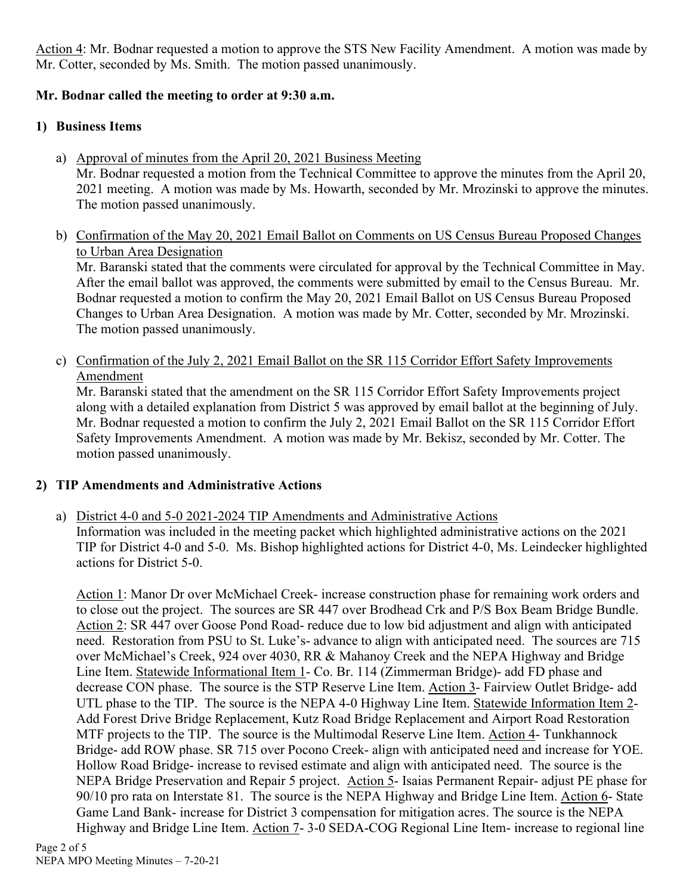Action 4: Mr. Bodnar requested a motion to approve the STS New Facility Amendment. A motion was made by Mr. Cotter, seconded by Ms. Smith. The motion passed unanimously.

# **Mr. Bodnar called the meeting to order at 9:30 a.m.**

# **1) Business Items**

- a) Approval of minutes from the April 20, 2021 Business Meeting Mr. Bodnar requested a motion from the Technical Committee to approve the minutes from the April 20, 2021 meeting. A motion was made by Ms. Howarth, seconded by Mr. Mrozinski to approve the minutes. The motion passed unanimously.
- b) Confirmation of the May 20, 2021 Email Ballot on Comments on US Census Bureau Proposed Changes to Urban Area Designation

Mr. Baranski stated that the comments were circulated for approval by the Technical Committee in May. After the email ballot was approved, the comments were submitted by email to the Census Bureau. Mr. Bodnar requested a motion to confirm the May 20, 2021 Email Ballot on US Census Bureau Proposed Changes to Urban Area Designation. A motion was made by Mr. Cotter, seconded by Mr. Mrozinski. The motion passed unanimously.

c) Confirmation of the July 2, 2021 Email Ballot on the SR 115 Corridor Effort Safety Improvements Amendment

Mr. Baranski stated that the amendment on the SR 115 Corridor Effort Safety Improvements project along with a detailed explanation from District 5 was approved by email ballot at the beginning of July. Mr. Bodnar requested a motion to confirm the July 2, 2021 Email Ballot on the SR 115 Corridor Effort Safety Improvements Amendment. A motion was made by Mr. Bekisz, seconded by Mr. Cotter. The motion passed unanimously.

# **2) TIP Amendments and Administrative Actions**

actions for District 5-0.

a) District 4-0 and 5-0 2021-2024 TIP Amendments and Administrative Actions Information was included in the meeting packet which highlighted administrative actions on the 2021 TIP for District 4-0 and 5-0. Ms. Bishop highlighted actions for District 4-0, Ms. Leindecker highlighted

Action 1: Manor Dr over McMichael Creek- increase construction phase for remaining work orders and to close out the project. The sources are SR 447 over Brodhead Crk and P/S Box Beam Bridge Bundle. Action 2: SR 447 over Goose Pond Road- reduce due to low bid adjustment and align with anticipated need. Restoration from PSU to St. Luke's- advance to align with anticipated need. The sources are 715 over McMichael's Creek, 924 over 4030, RR & Mahanoy Creek and the NEPA Highway and Bridge Line Item. Statewide Informational Item 1- Co. Br. 114 (Zimmerman Bridge)- add FD phase and decrease CON phase. The source is the STP Reserve Line Item. Action 3- Fairview Outlet Bridge- add UTL phase to the TIP. The source is the NEPA 4-0 Highway Line Item. Statewide Information Item 2- Add Forest Drive Bridge Replacement, Kutz Road Bridge Replacement and Airport Road Restoration MTF projects to the TIP. The source is the Multimodal Reserve Line Item. Action 4- Tunkhannock Bridge- add ROW phase. SR 715 over Pocono Creek- align with anticipated need and increase for YOE. Hollow Road Bridge- increase to revised estimate and align with anticipated need. The source is the NEPA Bridge Preservation and Repair 5 project. Action 5- Isaias Permanent Repair- adjust PE phase for 90/10 pro rata on Interstate 81. The source is the NEPA Highway and Bridge Line Item. Action 6- State Game Land Bank- increase for District 3 compensation for mitigation acres. The source is the NEPA Highway and Bridge Line Item. Action 7- 3-0 SEDA-COG Regional Line Item- increase to regional line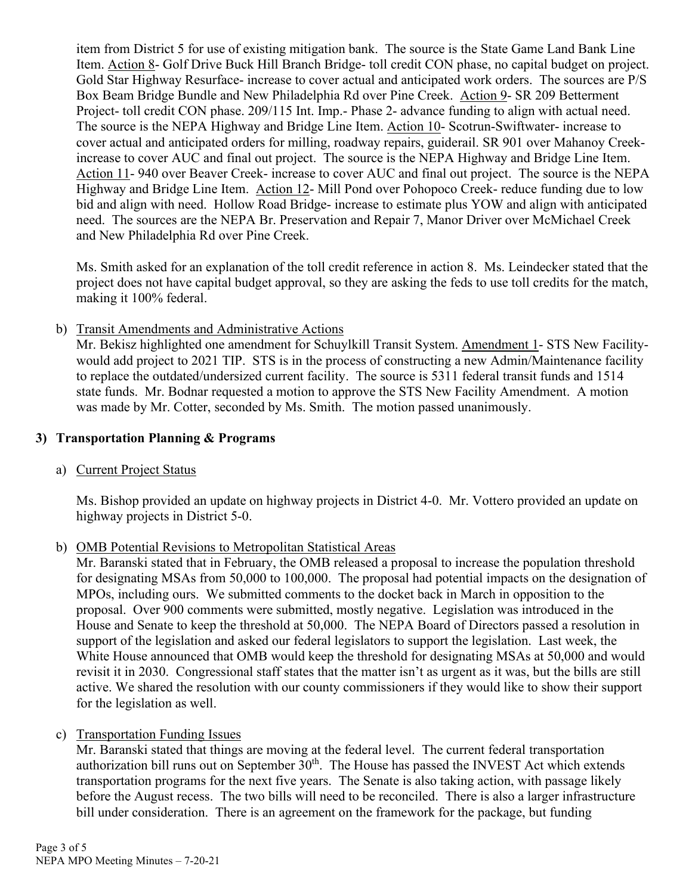item from District 5 for use of existing mitigation bank. The source is the State Game Land Bank Line Item. Action 8- Golf Drive Buck Hill Branch Bridge- toll credit CON phase, no capital budget on project. Gold Star Highway Resurface- increase to cover actual and anticipated work orders. The sources are P/S Box Beam Bridge Bundle and New Philadelphia Rd over Pine Creek. Action 9- SR 209 Betterment Project- toll credit CON phase. 209/115 Int. Imp.- Phase 2- advance funding to align with actual need. The source is the NEPA Highway and Bridge Line Item. Action 10- Scotrun-Swiftwater- increase to cover actual and anticipated orders for milling, roadway repairs, guiderail. SR 901 over Mahanoy Creekincrease to cover AUC and final out project. The source is the NEPA Highway and Bridge Line Item. Action 11-940 over Beaver Creek- increase to cover AUC and final out project. The source is the NEPA Highway and Bridge Line Item. Action 12- Mill Pond over Pohopoco Creek- reduce funding due to low bid and align with need. Hollow Road Bridge- increase to estimate plus YOW and align with anticipated need. The sources are the NEPA Br. Preservation and Repair 7, Manor Driver over McMichael Creek and New Philadelphia Rd over Pine Creek.

Ms. Smith asked for an explanation of the toll credit reference in action 8. Ms. Leindecker stated that the project does not have capital budget approval, so they are asking the feds to use toll credits for the match, making it 100% federal.

b) Transit Amendments and Administrative Actions

Mr. Bekisz highlighted one amendment for Schuylkill Transit System. Amendment 1- STS New Facilitywould add project to 2021 TIP. STS is in the process of constructing a new Admin/Maintenance facility to replace the outdated/undersized current facility. The source is 5311 federal transit funds and 1514 state funds. Mr. Bodnar requested a motion to approve the STS New Facility Amendment. A motion was made by Mr. Cotter, seconded by Ms. Smith. The motion passed unanimously.

# **3) Transportation Planning & Programs**

# a) Current Project Status

Ms. Bishop provided an update on highway projects in District 4-0. Mr. Vottero provided an update on highway projects in District 5-0.

# b) OMB Potential Revisions to Metropolitan Statistical Areas

Mr. Baranski stated that in February, the OMB released a proposal to increase the population threshold for designating MSAs from 50,000 to 100,000. The proposal had potential impacts on the designation of MPOs, including ours. We submitted comments to the docket back in March in opposition to the proposal. Over 900 comments were submitted, mostly negative. Legislation was introduced in the House and Senate to keep the threshold at 50,000. The NEPA Board of Directors passed a resolution in support of the legislation and asked our federal legislators to support the legislation. Last week, the White House announced that OMB would keep the threshold for designating MSAs at 50,000 and would revisit it in 2030. Congressional staff states that the matter isn't as urgent as it was, but the bills are still active. We shared the resolution with our county commissioners if they would like to show their support for the legislation as well.

# c) Transportation Funding Issues

Mr. Baranski stated that things are moving at the federal level. The current federal transportation authorization bill runs out on September  $30<sup>th</sup>$ . The House has passed the INVEST Act which extends transportation programs for the next five years. The Senate is also taking action, with passage likely before the August recess. The two bills will need to be reconciled. There is also a larger infrastructure bill under consideration. There is an agreement on the framework for the package, but funding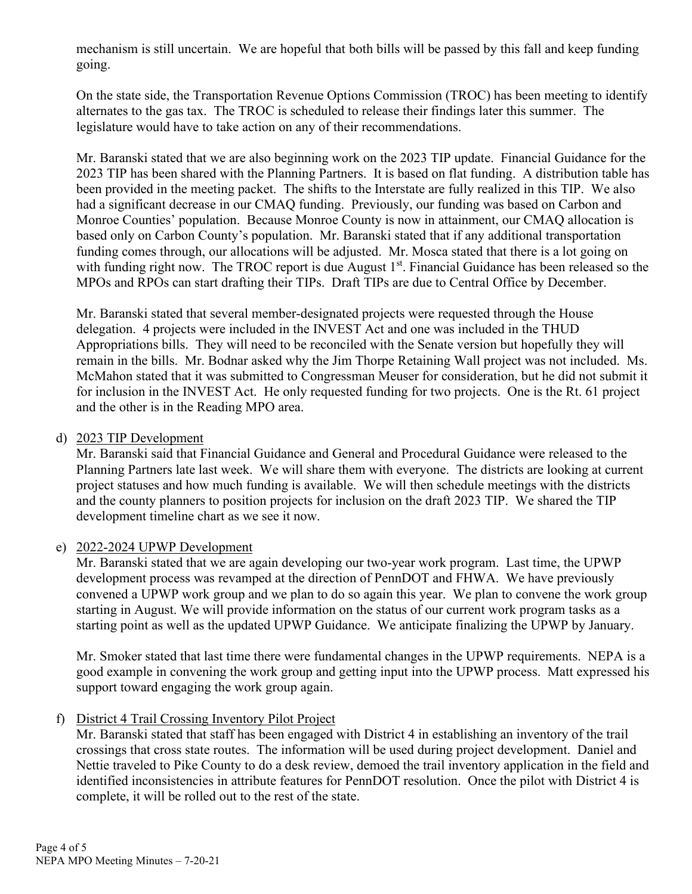mechanism is still uncertain. We are hopeful that both bills will be passed by this fall and keep funding going.

On the state side, the Transportation Revenue Options Commission (TROC) has been meeting to identify alternates to the gas tax. The TROC is scheduled to release their findings later this summer. The legislature would have to take action on any of their recommendations.

Mr. Baranski stated that we are also beginning work on the 2023 TIP update. Financial Guidance for the 2023 TIP has been shared with the Planning Partners. It is based on flat funding. A distribution table has been provided in the meeting packet. The shifts to the Interstate are fully realized in this TIP. We also had a significant decrease in our CMAQ funding. Previously, our funding was based on Carbon and Monroe Counties' population. Because Monroe County is now in attainment, our CMAQ allocation is based only on Carbon County's population. Mr. Baranski stated that if any additional transportation funding comes through, our allocations will be adjusted. Mr. Mosca stated that there is a lot going on with funding right now. The TROC report is due August  $1<sup>st</sup>$ . Financial Guidance has been released so the MPOs and RPOs can start drafting their TIPs. Draft TIPs are due to Central Office by December.

Mr. Baranski stated that several member-designated projects were requested through the House delegation. 4 projects were included in the INVEST Act and one was included in the THUD Appropriations bills. They will need to be reconciled with the Senate version but hopefully they will remain in the bills. Mr. Bodnar asked why the Jim Thorpe Retaining Wall project was not included. Ms. McMahon stated that it was submitted to Congressman Meuser for consideration, but he did not submit it for inclusion in the INVEST Act. He only requested funding for two projects. One is the Rt. 61 project and the other is in the Reading MPO area.

#### d) 2023 TIP Development

Mr. Baranski said that Financial Guidance and General and Procedural Guidance were released to the Planning Partners late last week. We will share them with everyone. The districts are looking at current project statuses and how much funding is available. We will then schedule meetings with the districts and the county planners to position projects for inclusion on the draft 2023 TIP. We shared the TIP development timeline chart as we see it now.

# e) 2022-2024 UPWP Development

Mr. Baranski stated that we are again developing our two-year work program. Last time, the UPWP development process was revamped at the direction of PennDOT and FHWA. We have previously convened a UPWP work group and we plan to do so again this year. We plan to convene the work group starting in August. We will provide information on the status of our current work program tasks as a starting point as well as the updated UPWP Guidance. We anticipate finalizing the UPWP by January.

Mr. Smoker stated that last time there were fundamental changes in the UPWP requirements. NEPA is a good example in convening the work group and getting input into the UPWP process. Matt expressed his support toward engaging the work group again.

# f) District 4 Trail Crossing Inventory Pilot Project

Mr. Baranski stated that staff has been engaged with District 4 in establishing an inventory of the trail crossings that cross state routes. The information will be used during project development. Daniel and Nettie traveled to Pike County to do a desk review, demoed the trail inventory application in the field and identified inconsistencies in attribute features for PennDOT resolution. Once the pilot with District 4 is complete, it will be rolled out to the rest of the state.